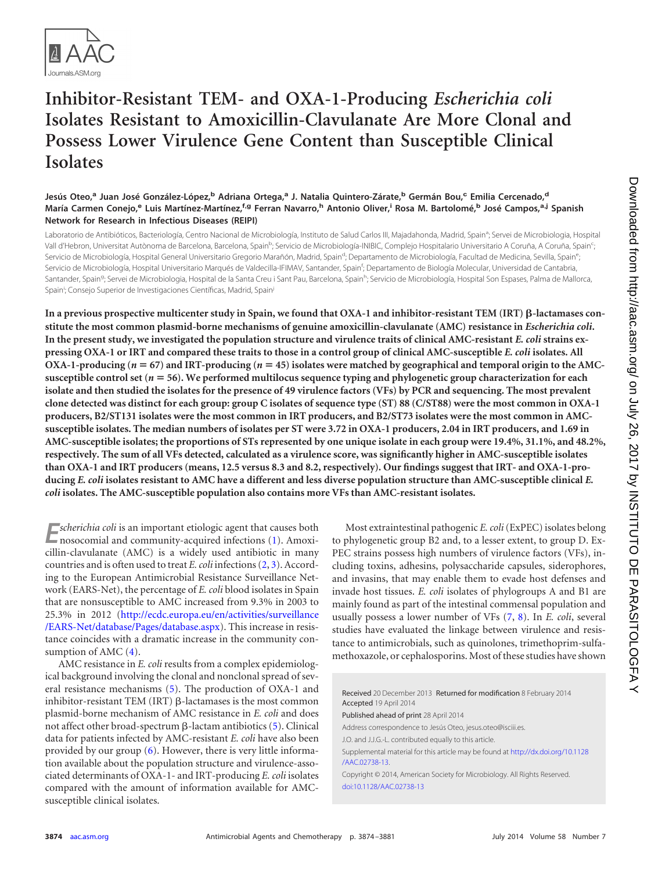

# **Inhibitor-Resistant TEM- and OXA-1-Producing** *Escherichia coli* **Isolates Resistant to Amoxicillin-Clavulanate Are More Clonal and Possess Lower Virulence Gene Content than Susceptible Clinical Isolates**

## **Jesús Oteo,<sup>a</sup> Juan José González-López,<sup>b</sup> Adriana Ortega,<sup>a</sup> J. Natalia Quintero-Zárate,<sup>b</sup> Germán Bou,<sup>c</sup> Emilia Cercenado,<sup>d</sup> María Carmen Conejo,<sup>e</sup> Luis Martínez-Martínez,f,g Ferran Navarro,<sup>h</sup> Antonio Oliver,<sup>i</sup> Rosa M. Bartolomé,<sup>b</sup> José Campos,a,j Spanish Network for Research in Infectious Diseases (REIPI)**

Laboratorio de Antibióticos, Bacteriología, Centro Nacional de Microbiología, Instituto de Salud Carlos III, Majadahonda, Madrid, Spain<sup>a</sup>; Servei de Microbiologia, Hospital Vall d'Hebron, Universitat Autònoma de Barcelona, Barcelona, Spain<sup>b</sup>; Servicio de Microbiología-INIBIC, Complejo Hospitalario Universitario A Coruña, A Coruña, Spain<sup>c</sup> ; Servicio de Microbiología, Hospital General Universitario Gregorio Marañón, Madrid, Spain<sup>d</sup>; Departamento de Microbiología, Facultad de Medicina, Sevilla, Spain<sup>e</sup> ; Servicio de Microbiología, Hospital Universitario Marqués de Valdecilla-IFIMAV, Santander, Spain<sup>f</sup>; Departamento de Biología Molecular, Universidad de Cantabria, Santander, Spain<sup>g</sup>; Servei de Microbiologia, Hospital de la Santa Creu i Sant Pau, Barcelona, Spain<sup>h</sup>; Servicio de Microbiología, Hospital Son Espases, Palma de Mallorca, Spain<sup>i</sup>; Consejo Superior de Investigaciones Científicas, Madrid, Spain<sup>j</sup>

In a previous prospective multicenter study in Spain, we found that OXA-1 and inhibitor-resistant TEM (IRT) β-lactamases con**stitute the most common plasmid-borne mechanisms of genuine amoxicillin-clavulanate (AMC) resistance in** *Escherichia coli***. In the present study, we investigated the population structure and virulence traits of clinical AMC-resistant** *E. coli* **strains expressing OXA-1 or IRT and compared these traits to those in a control group of clinical AMC-susceptible** *E. coli* **isolates. All OXA-1-producing (***n* **67) and IRT-producing (***n* **45) isolates were matched by geographical and temporal origin to the AMCsusceptible control set (***n* **56). We performed multilocus sequence typing and phylogenetic group characterization for each isolate and then studied the isolates for the presence of 49 virulence factors (VFs) by PCR and sequencing. The most prevalent clone detected was distinct for each group: group C isolates of sequence type (ST) 88 (C/ST88) were the most common in OXA-1 producers, B2/ST131 isolates were the most common in IRT producers, and B2/ST73 isolates were the most common in AMCsusceptible isolates. The median numbers of isolates per ST were 3.72 in OXA-1 producers, 2.04 in IRT producers, and 1.69 in AMC-susceptible isolates; the proportions of STs represented by one unique isolate in each group were 19.4%, 31.1%, and 48.2%, respectively. The sum of all VFs detected, calculated as a virulence score, was significantly higher in AMC-susceptible isolates than OXA-1 and IRT producers (means, 12.5 versus 8.3 and 8.2, respectively). Our findings suggest that IRT- and OXA-1-producing** *E. coli* **isolates resistant to AMC have a different and less diverse population structure than AMC-susceptible clinical** *E. coli* **isolates. The AMC-susceptible population also contains more VFs than AMC-resistant isolates.**

**E**<br>**E**<br>**E***nososomial* is an important etiologic agent that causes both nosocomial and community-acquired infections [\(1\)](#page-6-0). Amoxicillin-clavulanate (AMC) is a widely used antibiotic in many countries and is often used to treat *E. coli* infections [\(2,](#page-6-1) [3\)](#page-6-2). According to the European Antimicrobial Resistance Surveillance Network (EARS-Net), the percentage of *E. coli* blood isolates in Spain that are nonsusceptible to AMC increased from 9.3% in 2003 to 25.3% in 2012 [\(http://ecdc.europa.eu/en/activities/surveillance](http://ecdc.europa.eu/en/activities/surveillance/EARS-Net/database/Pages/database.aspx) [/EARS-Net/database/Pages/database.aspx\)](http://ecdc.europa.eu/en/activities/surveillance/EARS-Net/database/Pages/database.aspx). This increase in resistance coincides with a dramatic increase in the community consumption of AMC  $(4)$ .

AMC resistance in *E. coli* results from a complex epidemiological background involving the clonal and nonclonal spread of several resistance mechanisms [\(5\)](#page-6-4). The production of OXA-1 and inhibitor-resistant TEM (IRT)  $\beta$ -lactamases is the most common plasmid-borne mechanism of AMC resistance in *E. coli* and does not affect other broad-spectrum  $\beta$ -lactam antibiotics [\(5\)](#page-6-4). Clinical data for patients infected by AMC-resistant *E. coli* have also been provided by our group  $(6)$ . However, there is very little information available about the population structure and virulence-associated determinants of OXA-1- and IRT-producing *E. coli* isolates compared with the amount of information available for AMCsusceptible clinical isolates.

Most extraintestinal pathogenic *E. coli*(ExPEC) isolates belong to phylogenetic group B2 and, to a lesser extent, to group D. Ex-PEC strains possess high numbers of virulence factors (VFs), including toxins, adhesins, polysaccharide capsules, siderophores, and invasins, that may enable them to evade host defenses and invade host tissues. *E. coli* isolates of phylogroups A and B1 are mainly found as part of the intestinal commensal population and usually possess a lower number of VFs [\(7,](#page-6-6) [8\)](#page-6-7). In *E. coli*, several studies have evaluated the linkage between virulence and resistance to antimicrobials, such as quinolones, trimethoprim-sulfamethoxazole, or cephalosporins. Most of these studies have shown

Received 20 December 2013 Returned for modification 8 February 2014 Accepted 19 April 2014 Published ahead of print 28 April 2014 Address correspondence to Jesús Oteo, jesus.oteo@isciii.es. J.O. and J.J.G.-L. contributed equally to this article. Supplemental material for this article may be found at [http://dx.doi.org/10.1128](http://dx.doi.org/10.1128/AAC.02738-13) [/AAC.02738-13.](http://dx.doi.org/10.1128/AAC.02738-13) Copyright © 2014, American Society for Microbiology. All Rights Reserved. [doi:10.1128/AAC.02738-13](http://dx.doi.org/10.1128/AAC.02738-13)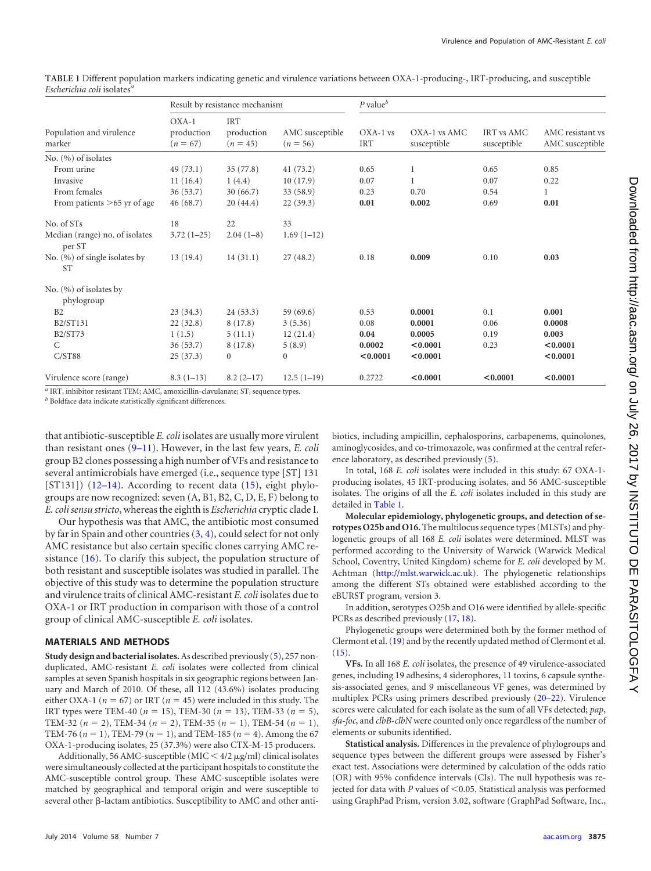|                                            |                                     | Result by resistance mechanism         |                               | $P$ value $^b$           |                             |                                  |                                     |
|--------------------------------------------|-------------------------------------|----------------------------------------|-------------------------------|--------------------------|-----------------------------|----------------------------------|-------------------------------------|
| Population and virulence<br>marker         | $OXA-1$<br>production<br>$(n = 67)$ | <b>IRT</b><br>production<br>$(n = 45)$ | AMC susceptible<br>$(n = 56)$ | $OXA-1$ vs<br><b>IRT</b> | OXA-1 vs AMC<br>susceptible | <b>IRT</b> vs AMC<br>susceptible | AMC resistant vs<br>AMC susceptible |
| No. $(\%)$ of isolates                     |                                     |                                        |                               |                          |                             |                                  |                                     |
| From urine                                 | 49(73.1)                            | 35(77.8)                               | 41(73.2)                      | 0.65                     | 1                           | 0.65                             | 0.85                                |
| Invasive                                   | 11(16.4)                            | 1(4.4)                                 | 10(17.9)                      | 0.07                     |                             | 0.07                             | 0.22                                |
| From females                               | 36(53.7)                            | 30(66.7)                               | 33(58.9)                      | 0.23                     | 0.70                        | 0.54                             | 1                                   |
| From patients >65 yr of age                | 46(68.7)                            | 20(44.4)                               | 22(39.3)                      | 0.01                     | 0.002                       | 0.69                             | 0.01                                |
| No. of STs                                 | 18                                  | 22                                     | 33                            |                          |                             |                                  |                                     |
| Median (range) no. of isolates<br>per ST   | $3.72(1-25)$                        | $2.04(1-8)$                            | $1.69(1-12)$                  |                          |                             |                                  |                                     |
| No. (%) of single isolates by<br><b>ST</b> | 13(19.4)                            | 14(31.1)                               | 27(48.2)                      | 0.18                     | 0.009                       | 0.10                             | 0.03                                |
| No. (%) of isolates by                     |                                     |                                        |                               |                          |                             |                                  |                                     |
| phylogroup                                 |                                     |                                        |                               |                          |                             |                                  |                                     |
| B <sub>2</sub>                             | 23(34.3)                            | 24(53.3)                               | 59 (69.6)                     | 0.53                     | 0.0001                      | 0.1                              | 0.001                               |
| <b>B2/ST131</b>                            | 22(32.8)                            | 8(17.8)                                | 3(5.36)                       | 0.08                     | 0.0001                      | 0.06                             | 0.0008                              |
| <b>B2/ST73</b>                             | 1(1.5)                              | 5(11.1)                                | 12(21.4)                      | 0.04                     | 0.0005                      | 0.19                             | 0.003                               |
| $\mathcal{C}$                              | 36(53.7)                            | 8(17.8)                                | 5(8.9)                        | 0.0002                   | < 0.0001                    | 0.23                             | < 0.0001                            |
| C/ST88                                     | 25(37.3)                            | $\mathbf{0}$                           | $\boldsymbol{0}$              | < 0.0001                 | < 0.0001                    |                                  | < 0.0001                            |
| Virulence score (range)                    | $8.3(1-13)$                         | $8.2(2-17)$                            | $12.5(1-19)$                  | 0.2722                   | < 0.0001                    | < 0.0001                         | < 0.0001                            |

<span id="page-1-0"></span>**TABLE 1** Different population markers indicating genetic and virulence variations between OXA-1-producing-, IRT-producing, and susceptible *Escherichia coli* isolates*<sup>a</sup>*

*<sup>a</sup>* IRT, inhibitor resistant TEM; AMC, amoxicillin-clavulanate; ST, sequence types.

*<sup>b</sup>* Boldface data indicate statistically significant differences.

that antibiotic-susceptible *E. coli* isolates are usually more virulent than resistant ones [\(9](#page-6-8)[–](#page-6-9)[11\)](#page-6-10). However, in the last few years, *E. coli* group B2 clones possessing a high number of VFs and resistance to several antimicrobials have emerged (i.e., sequence type [ST] 131 [ST131]) [\(12](#page-6-11)-[14\)](#page-6-13). According to recent data [\(15\)](#page-6-14), eight phylogroups are now recognized: seven (A, B1, B2, C, D, E, F) belong to *E. coli sensu stricto*, whereas the eighth is *Escherichia* cryptic clade I.

Our hypothesis was that AMC, the antibiotic most consumed by far in Spain and other countries [\(3,](#page-6-2) [4\)](#page-6-3), could select for not only AMC resistance but also certain specific clones carrying AMC resistance [\(16\)](#page-6-15). To clarify this subject, the population structure of both resistant and susceptible isolates was studied in parallel. The objective of this study was to determine the population structure and virulence traits of clinical AMC-resistant *E. coli* isolates due to OXA-1 or IRT production in comparison with those of a control group of clinical AMC-susceptible *E. coli* isolates.

#### **MATERIALS AND METHODS**

**Study design and bacterial isolates.**As described previously [\(5\)](#page-6-4), 257 nonduplicated, AMC-resistant *E. coli* isolates were collected from clinical samples at seven Spanish hospitals in six geographic regions between January and March of 2010. Of these, all 112 (43.6%) isolates producing either OXA-1 ( $n = 67$ ) or IRT ( $n = 45$ ) were included in this study. The IRT types were TEM-40 ( $n = 15$ ), TEM-30 ( $n = 13$ ), TEM-33 ( $n = 5$ ), TEM-32 ( $n = 2$ ), TEM-34 ( $n = 2$ ), TEM-35 ( $n = 1$ ), TEM-54 ( $n = 1$ ), TEM-76 ( $n = 1$ ), TEM-79 ( $n = 1$ ), and TEM-185 ( $n = 4$ ). Among the 67 OXA-1-producing isolates, 25 (37.3%) were also CTX-M-15 producers.

Additionally, 56 AMC-susceptible (MIC  $\leq$  4/2  $\mu$ g/ml) clinical isolates were simultaneously collected at the participant hospitals to constitute the AMC-susceptible control group. These AMC-susceptible isolates were matched by geographical and temporal origin and were susceptible to several other  $\beta$ -lactam antibiotics. Susceptibility to AMC and other antibiotics, including ampicillin, cephalosporins, carbapenems, quinolones, aminoglycosides, and co-trimoxazole, was confirmed at the central reference laboratory, as described previously [\(5\)](#page-6-4).

In total, 168 *E. coli* isolates were included in this study: 67 OXA-1 producing isolates, 45 IRT-producing isolates, and 56 AMC-susceptible isolates. The origins of all the *E. coli* isolates included in this study are detailed in [Table 1.](#page-1-0)

**Molecular epidemiology, phylogenetic groups, and detection of serotypes O25b and O16.** The multilocus sequence types (MLSTs) and phylogenetic groups of all 168 *E. coli* isolates were determined. MLST was performed according to the University of Warwick (Warwick Medical School, Coventry, United Kingdom) scheme for *E. coli* developed by M. Achtman [\(http://mlst.warwick.ac.uk\)](http://mlst.warwick.ac.uk). The phylogenetic relationships among the different STs obtained were established according to the eBURST program, version 3.

In addition, serotypes O25b and O16 were identified by allele-specific PCRs as described previously [\(17,](#page-6-16) [18\)](#page-6-17).

Phylogenetic groups were determined both by the former method of Clermont et al. [\(19\)](#page-6-18) and by the recently updated method of Clermont et al.  $(15)$ .

**VFs.** In all 168 *E. coli* isolates, the presence of 49 virulence-associated genes, including 19 adhesins, 4 siderophores, 11 toxins, 6 capsule synthesis-associated genes, and 9 miscellaneous VF genes, was determined by multiplex PCRs using primers described previously [\(20](#page-6-19)[–](#page-6-20)[22\)](#page-6-21). Virulence scores were calculated for each isolate as the sum of all VFs detected; *pap*, *sfa*-*foc*, and *clbB*-*clbN* were counted only once regardless of the number of elements or subunits identified.

**Statistical analysis.** Differences in the prevalence of phylogroups and sequence types between the different groups were assessed by Fisher's exact test. Associations were determined by calculation of the odds ratio (OR) with 95% confidence intervals (CIs). The null hypothesis was rejected for data with  $P$  values of  $\leq$  0.05. Statistical analysis was performed using GraphPad Prism, version 3.02, software (GraphPad Software, Inc.,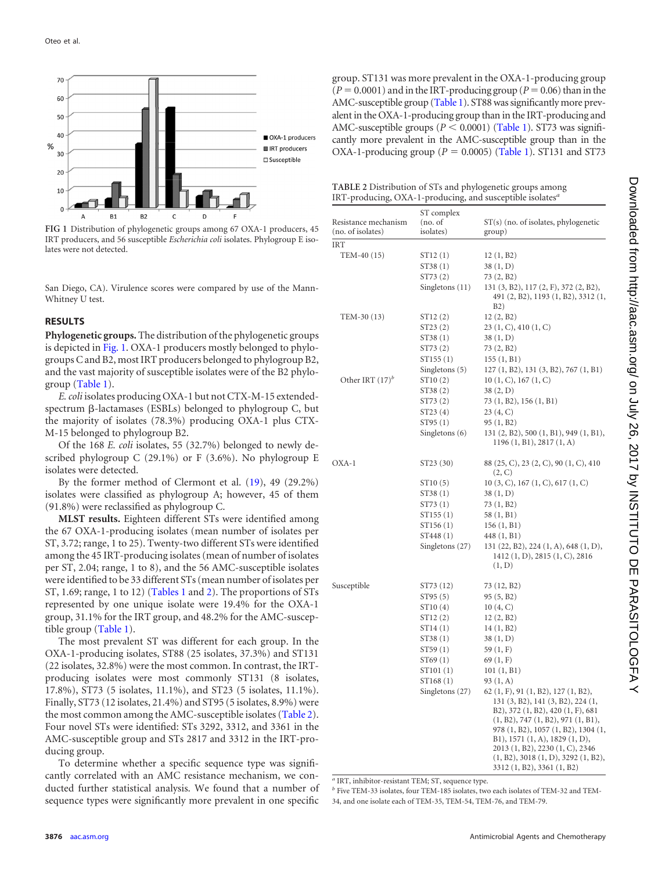

<span id="page-2-0"></span>**FIG 1** Distribution of phylogenetic groups among 67 OXA-1 producers, 45 IRT producers, and 56 susceptible *Escherichia coli* isolates. Phylogroup E isolates were not detected.

San Diego, CA). Virulence scores were compared by use of the Mann-Whitney U test.

### **RESULTS**

**Phylogenetic groups.** The distribution of the phylogenetic groups is depicted in [Fig. 1.](#page-2-0) OXA-1 producers mostly belonged to phylogroupsC and B2, most IRT producers belonged to phylogroup B2, and the vast majority of susceptible isolates were of the B2 phylogroup [\(Table 1\)](#page-1-0).

*E.coli* isolates producing OXA-1 but not CTX-M-15 extendedspectrum ß-lactamases (ESBLs) belonged to phylogroup C, but the majority of isolates (78.3%) producing OXA-1 plus CTX-M-15 belonged to phylogroup B2.

Of the 168 *E. coli* isolates, 55 (32.7%) belonged to newly described phylogroup C (29.1%) or F (3.6%). No phylogroup E isolates were detected.

By the former method of Clermont et al. [\(19\)](#page-6-18), 49 (29.2%) isolates were classified as phylogroup A; however, 45 of them (91.8%) were reclassified as phylogroup C.

**MLST results.** Eighteen different STs were identified among the 67 OXA-1-producing isolates (mean number of isolates per ST, 3.72; range, 1 to 25). Twenty-two different STs were identified among the 45 IRT-producing isolates (mean of number of isolates per ST, 2.04; range, 1 to 8), and the 56 AMC-susceptible isolates were identified to be 33 different STs (mean number of isolates per ST, 1.69; range, 1 to 12) [\(Tables 1](#page-1-0) and [2\)](#page-2-1). The proportions of STs represented by one unique isolate were 19.4% for the OXA-1 group, 31.1% for the IRT group, and 48.2% for the AMC-susceptible group [\(Table 1\)](#page-1-0).

The most prevalent ST was different for each group. In the OXA-1-producing isolates, ST88 (25 isolates, 37.3%) and ST131 (22 isolates, 32.8%) were the most common. In contrast, the IRTproducing isolates were most commonly ST131 (8 isolates, 17.8%), ST73 (5 isolates, 11.1%), and ST23 (5 isolates, 11.1%). Finally, ST73 (12 isolates, 21.4%) and ST95 (5 isolates, 8.9%) were the most common among the AMC-susceptible isolates [\(Table 2\)](#page-2-1). Four novel STs were identified: STs 3292, 3312, and 3361 in the AMC-susceptible group and STs 2817 and 3312 in the IRT-producing group.

To determine whether a specific sequence type was significantly correlated with an AMC resistance mechanism, we conducted further statistical analysis. We found that a number of sequence types were significantly more prevalent in one specific group. ST131 was more prevalent in the OXA-1-producing group  $(P = 0.0001)$  and in the IRT-producing group  $(P = 0.06)$  than in the AMC-susceptible group [\(Table 1\)](#page-1-0). ST88 was significantly more prevalent in the OXA-1-producing group than in the IRT-producing and AMC-susceptible groups  $(P < 0.0001)$  [\(Table 1\)](#page-1-0). ST73 was significantly more prevalent in the AMC-susceptible group than in the OXA-1-producing group ( $P = 0.0005$ ) [\(Table 1\)](#page-1-0). ST131 and ST73

<span id="page-2-1"></span>

| <b>TABLE 2</b> Distribution of STs and phylogenetic groups among             |  |
|------------------------------------------------------------------------------|--|
| IRT-producing, OXA-1-producing, and susceptible isolates <sup><i>a</i></sup> |  |

| Resistance mechanism<br>(no. of isolates) | ST complex<br>(no. of<br>isolates) | $ST(s)$ (no. of isolates, phylogenetic<br>group)                                                                                                    |
|-------------------------------------------|------------------------------------|-----------------------------------------------------------------------------------------------------------------------------------------------------|
| IRT                                       |                                    |                                                                                                                                                     |
| TEM-40 (15)                               | ST <sub>12</sub> (1)               | 12(1, B2)                                                                                                                                           |
|                                           | ST38 (1)                           | 38(1, D)                                                                                                                                            |
|                                           | ST73 (2)                           | 73 (2, B2)                                                                                                                                          |
|                                           | Singletons (11)                    | 131 (3, B2), 117 (2, F), 372 (2, B2),<br>491 (2, B2), 1193 (1, B2), 3312 (1,                                                                        |
|                                           |                                    | B2)                                                                                                                                                 |
| TEM-30 (13)                               | ST <sub>12</sub> (2)               | 12 (2, B2)                                                                                                                                          |
|                                           | ST23(2)                            | 23(1, C), 410(1, C)                                                                                                                                 |
|                                           | ST38 (1)                           | 38(1, D)                                                                                                                                            |
|                                           | ST73 (2)                           | 73 (2, B2)                                                                                                                                          |
|                                           | ST <sub>155</sub> (1)              | 155(1, B1)                                                                                                                                          |
|                                           | Singletons (5)                     | 127 (1, B2), 131 (3, B2), 767 (1, B1)                                                                                                               |
| Other IRT $(17)^b$                        | ST <sub>10</sub> (2)               | 10(1, C), 167(1, C)                                                                                                                                 |
|                                           | ST38(2)                            | 38(2, D)                                                                                                                                            |
|                                           | ST73 (2)                           | 73 (1, B2), 156 (1, B1)                                                                                                                             |
|                                           | ST23 (4)                           | 23 (4, C)                                                                                                                                           |
|                                           | ST95 (1)                           | 95 (1, B2)                                                                                                                                          |
|                                           | Singletons (6)                     | 131 (2, B2), 500 (1, B1), 949 (1, B1),<br>1196 (1, B1), 2817 (1, A)                                                                                 |
| OXA-1                                     | ST23 (30)                          | 88 (25, C), 23 (2, C), 90 (1, C), 410<br>(2, C)                                                                                                     |
|                                           | ST <sub>10</sub> (5)               | 10(3, C), 167(1, C), 617(1, C)                                                                                                                      |
|                                           | ST38 (1)                           | 38 (1, D)                                                                                                                                           |
|                                           | ST73 (1)                           | 73 (1, B2)                                                                                                                                          |
|                                           | ST155 (1)                          | 58 (1, B1)                                                                                                                                          |
|                                           | ST156(1)                           | 156(1, B1)                                                                                                                                          |
|                                           | ST448 (1)                          | 448 (1, B1)                                                                                                                                         |
|                                           | Singletons (27)                    | 131 (22, B2), 224 (1, A), 648 (1, D),<br>1412 (1, D), 2815 (1, C), 2816<br>(1, D)                                                                   |
| Susceptible                               | ST73 (12)                          | 73 (12, B2)                                                                                                                                         |
|                                           | ST95(5)                            | 95 (5, B2)                                                                                                                                          |
|                                           |                                    | 10(4, C)                                                                                                                                            |
|                                           | ST10(4)<br>ST12(2)                 | 12 (2, B2)                                                                                                                                          |
|                                           | ST <sub>14</sub> (1)               | 14 (1, B2)                                                                                                                                          |
|                                           | ST38 (1)                           | 38 (1, D)                                                                                                                                           |
|                                           | ST59(1)                            | 59 (1, F)                                                                                                                                           |
|                                           | ST69(1)                            | 69 (1, F)                                                                                                                                           |
|                                           | ST101 (1)                          | 101(1, B1)                                                                                                                                          |
|                                           | ST <sub>168</sub> (1)              | 93 (1, A)                                                                                                                                           |
|                                           | Singletons (27)                    | 62 (1, F), 91 (1, B2), 127 (1, B2),<br>131 (3, B2), 141 (3, B2), 224 (1,<br>B2), 372 (1, B2), 420 (1, F), 681<br>(1, B2), 747 (1, B2), 971 (1, B1), |
|                                           |                                    | 978 (1, B2), 1057 (1, B2), 1304 (1,<br>B1), 1571 (1, A), 1829 (1, D),                                                                               |
|                                           |                                    | 2013 (1, B2), 2230 (1, C), 2346                                                                                                                     |
|                                           |                                    | $(1, B2), 3018$ $(1, D), 3292$ $(1, B2),$<br>3312 (1, B2), 3361 (1, B2)                                                                             |

*<sup>a</sup>* IRT, inhibitor-resistant TEM; ST, sequence type.

*<sup>b</sup>* Five TEM-33 isolates, four TEM-185 isolates, two each isolates of TEM-32 and TEM-34, and one isolate each of TEM-35, TEM-54, TEM-76, and TEM-79.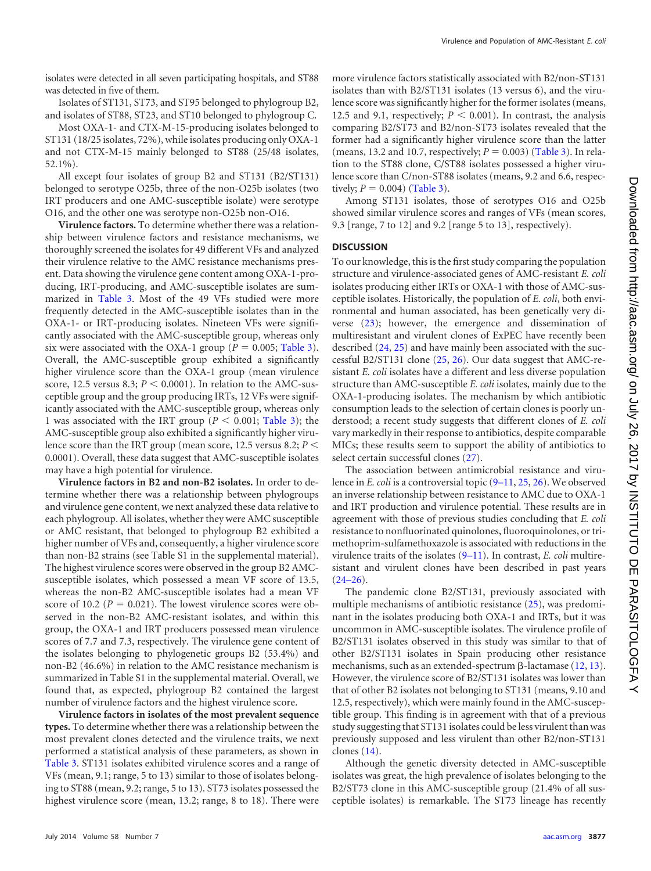isolates were detected in all seven participating hospitals, and ST88 was detected in five of them.

Isolates of ST131, ST73, and ST95 belonged to phylogroup B2, and isolates of ST88, ST23, and ST10 belonged to phylogroup C.

Most OXA-1- and CTX-M-15-producing isolates belonged to ST131 (18/25 isolates, 72%), while isolates producing only OXA-1 and not CTX-M-15 mainly belonged to ST88 (25/48 isolates, 52.1%).

All except four isolates of group B2 and ST131 (B2/ST131) belonged to serotype O25b, three of the non-O25b isolates (two IRT producers and one AMC-susceptible isolate) were serotype O16, and the other one was serotype non-O25b non-O16.

**Virulence factors.** To determine whether there was a relationship between virulence factors and resistance mechanisms, we thoroughly screened the isolates for 49 different VFs and analyzed their virulence relative to the AMC resistance mechanisms present. Data showing the virulence gene content among OXA-1-producing, IRT-producing, and AMC-susceptible isolates are summarized in [Table 3.](#page-4-0) Most of the 49 VFs studied were more frequently detected in the AMC-susceptible isolates than in the OXA-1- or IRT-producing isolates. Nineteen VFs were significantly associated with the AMC-susceptible group, whereas only six were associated with the OXA-1 group ( $P = 0.005$ ; [Table 3\)](#page-4-0). Overall, the AMC-susceptible group exhibited a significantly higher virulence score than the OXA-1 group (mean virulence score, 12.5 versus 8.3;  $P < 0.0001$ ). In relation to the AMC-susceptible group and the group producing IRTs, 12 VFs were significantly associated with the AMC-susceptible group, whereas only 1 was associated with the IRT group ( $P < 0.001$ ; [Table 3\)](#page-4-0); the AMC-susceptible group also exhibited a significantly higher virulence score than the IRT group (mean score, 12.5 versus 8.2; *P* 0.0001). Overall, these data suggest that AMC-susceptible isolates may have a high potential for virulence.

**Virulence factors in B2 and non-B2 isolates.** In order to determine whether there was a relationship between phylogroups and virulence gene content, we next analyzed these data relative to each phylogroup. All isolates, whether they were AMC susceptible or AMC resistant, that belonged to phylogroup B2 exhibited a higher number of VFs and, consequently, a higher virulence score than non-B2 strains (see Table S1 in the supplemental material). The highest virulence scores were observed in the group B2 AMCsusceptible isolates, which possessed a mean VF score of 13.5, whereas the non-B2 AMC-susceptible isolates had a mean VF score of 10.2 ( $P = 0.021$ ). The lowest virulence scores were observed in the non-B2 AMC-resistant isolates, and within this group, the OXA-1 and IRT producers possessed mean virulence scores of 7.7 and 7.3, respectively. The virulence gene content of the isolates belonging to phylogenetic groups B2 (53.4%) and non-B2 (46.6%) in relation to the AMC resistance mechanism is summarized in Table S1 in the supplemental material. Overall, we found that, as expected, phylogroup B2 contained the largest number of virulence factors and the highest virulence score.

**Virulence factors in isolates of the most prevalent sequence types.** To determine whether there was a relationship between the most prevalent clones detected and the virulence traits, we next performed a statistical analysis of these parameters, as shown in [Table 3.](#page-4-0) ST131 isolates exhibited virulence scores and a range of VFs (mean, 9.1; range, 5 to 13) similar to those of isolates belonging to ST88 (mean, 9.2; range, 5 to 13). ST73 isolates possessed the highest virulence score (mean, 13.2; range, 8 to 18). There were

more virulence factors statistically associated with B2/non-ST131 isolates than with B2/ST131 isolates (13 versus 6), and the virulence score was significantly higher for the former isolates (means, 12.5 and 9.1, respectively;  $P < 0.001$ ). In contrast, the analysis comparing B2/ST73 and B2/non-ST73 isolates revealed that the former had a significantly higher virulence score than the latter (means, 13.2 and 10.7, respectively;  $P = 0.003$ ) [\(Table 3\)](#page-4-0). In relation to the ST88 clone, C/ST88 isolates possessed a higher virulence score than C/non-ST88 isolates (means, 9.2 and 6.6, respectively;  $P = 0.004$ ) [\(Table 3\)](#page-4-0).

Among ST131 isolates, those of serotypes O16 and O25b showed similar virulence scores and ranges of VFs (mean scores, 9.3 [range, 7 to 12] and 9.2 [range 5 to 13], respectively).

#### **DISCUSSION**

To our knowledge, this is the first study comparing the population structure and virulence-associated genes of AMC-resistant *E. coli* isolates producing either IRTs or OXA-1 with those of AMC-susceptible isolates. Historically, the population of *E. coli*, both environmental and human associated, has been genetically very diverse [\(23\)](#page-6-22); however, the emergence and dissemination of multiresistant and virulent clones of ExPEC have recently been described [\(24,](#page-6-23) [25\)](#page-6-24) and have mainly been associated with the successful B2/ST131 clone [\(25,](#page-6-24) [26\)](#page-6-25). Our data suggest that AMC-resistant *E. coli* isolates have a different and less diverse population structure than AMC-susceptible *E. coli* isolates, mainly due to the OXA-1-producing isolates. The mechanism by which antibiotic consumption leads to the selection of certain clones is poorly understood; a recent study suggests that different clones of *E. coli* vary markedly in their response to antibiotics, despite comparable MICs; these results seem to support the ability of antibiotics to select certain successful clones [\(27\)](#page-6-26).

The association between antimicrobial resistance and virulence in *E. coli* is a controversial topic [\(9](#page-6-8)[–](#page-6-9)[11,](#page-6-10) [25,](#page-6-24) [26\)](#page-6-25). We observed an inverse relationship between resistance to AMC due to OXA-1 and IRT production and virulence potential. These results are in agreement with those of previous studies concluding that *E. coli* resistance to nonfluorinated quinolones, fluoroquinolones, or trimethoprim-sulfamethoxazole is associated with reductions in the virulence traits of the isolates [\(9](#page-6-8)[–](#page-6-9)[11\)](#page-6-10). In contrast, *E. coli* multiresistant and virulent clones have been described in past years  $(24-26)$  $(24-26)$  $(24-26)$ .

The pandemic clone B2/ST131, previously associated with multiple mechanisms of antibiotic resistance [\(25\)](#page-6-24), was predominant in the isolates producing both OXA-1 and IRTs, but it was uncommon in AMC-susceptible isolates. The virulence profile of B2/ST131 isolates observed in this study was similar to that of other B2/ST131 isolates in Spain producing other resistance mechanisms, such as an extended-spectrum  $\beta$ -lactamase [\(12,](#page-6-11) [13\)](#page-6-12). However, the virulence score of B2/ST131 isolates was lower than that of other B2 isolates not belonging to ST131 (means, 9.10 and 12.5, respectively), which were mainly found in the AMC-susceptible group. This finding is in agreement with that of a previous study suggesting that ST131 isolates could be less virulent than was previously supposed and less virulent than other B2/non-ST131 clones [\(14\)](#page-6-13).

Although the genetic diversity detected in AMC-susceptible isolates was great, the high prevalence of isolates belonging to the B2/ST73 clone in this AMC-susceptible group (21.4% of all susceptible isolates) is remarkable. The ST73 lineage has recently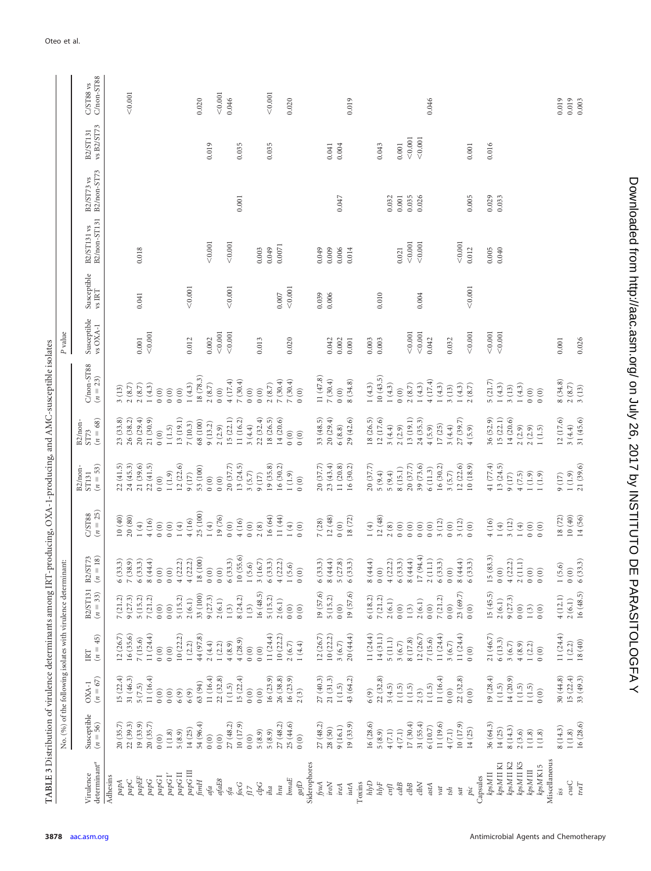<span id="page-4-0"></span>

| TABLE 3 Distribution of virulence determinants among IRT-producing, OXA-1-producing, and AMC-susceptible isolates |                                                                 |                              |                                                               |                                                         |                                               |                                              |                                                    |                                            |                            |                         |                                                                    |                                                                                     |                           |                        |                                             |
|-------------------------------------------------------------------------------------------------------------------|-----------------------------------------------------------------|------------------------------|---------------------------------------------------------------|---------------------------------------------------------|-----------------------------------------------|----------------------------------------------|----------------------------------------------------|--------------------------------------------|----------------------------|-------------------------|--------------------------------------------------------------------|-------------------------------------------------------------------------------------|---------------------------|------------------------|---------------------------------------------|
|                                                                                                                   |                                                                 |                              | No. (%) of the following isolates with virulence determinant: |                                                         |                                               |                                              |                                                    |                                            |                            | P value                 |                                                                    |                                                                                     |                           |                        |                                             |
| $\rm deteminant^a$<br>Virulence                                                                                   | Susceptible<br>$(n = 56)$                                       | $(XA-1)$<br>( <i>n</i> = 67) | $(n=45)$<br>IRT                                               | $B2/ST131$<br>( <i>n</i> = 33)                          | $/ST73$<br>= 18)<br>B2/<br>$\tilde{u}$        | $C/ST88$<br>( <i>n</i> = 25)                 | $(n = 53)$<br>B <sub>2</sub> /non-<br><b>ST131</b> | $(n = 68)$<br>B <sub>2</sub> /non-<br>ST73 | $C/non-ST88$<br>$(n = 23)$ | Susceptible<br>vs OXA-1 | $\begin{array}{l} \text{Susceptible} \\ \text{vs IRT} \end{array}$ | $\begin{array}{c} \texttt{B2/ST131}\text{ vs }\\ \texttt{B2/non-ST131} \end{array}$ | B2/non-ST73<br>B2/ST73 vs | vs B2/ST73<br>B2/ST131 | $\frac{\text{C}}{\text{C}/\text{non-ST88}}$ |
| Adhesins                                                                                                          |                                                                 | 15(22.4)                     |                                                               |                                                         |                                               |                                              |                                                    | 23(33.8)                                   |                            |                         |                                                                    |                                                                                     |                           |                        |                                             |
| $papC$<br>papA                                                                                                    | 20(35.7)<br>22(39.3)                                            | 31 (46.3)                    | 12 (26.7)<br>16(35.6)                                         | $\begin{array}{c} 7 \ (21.2) \\ 9 \ (27.3) \end{array}$ | $6(33.3)$<br>7(38.9)                          | 20(80)<br>10(40)                             | 22(41.5)<br>24(45.3)                               | 26(38.2)                                   | 2(8.7)<br>3(13)            |                         |                                                                    |                                                                                     |                           |                        | $<\!0.001$                                  |
| $p a p EF$                                                                                                        | 19(33.9)                                                        | 5(7.5)                       | 7(15.6)                                                       | 5(15.2)                                                 | 6(33.3)                                       | 1(4)                                         | 21 (39.6)                                          | 20(29.4)                                   | 2(8.7)                     | $0.001\,$               | 0.041                                                              | 0.018                                                                               |                           |                        |                                             |
| $papG$                                                                                                            | 20(35.7)                                                        | 11 $(16.4)$                  | 11(24.4)                                                      | 7(21.2)                                                 | $8\ (44.4)$                                   | 4(16)                                        | 22(41.5)                                           | 21(30.9)                                   | 1(4.3)                     | < 0.001                 |                                                                    |                                                                                     |                           |                        |                                             |
| $papG$ I                                                                                                          | (0)                                                             | 0(0)                         | (0)                                                           | (0)                                                     | $\begin{array}{c} 0 & 0 \\ 0 & 0 \end{array}$ | (0)                                          | (0)                                                | (0)                                        | 0(0)                       |                         |                                                                    |                                                                                     |                           |                        |                                             |
| $p a p G$ $\Gamma'$                                                                                               | $1\ (1.8)$                                                      | $0\ (0)$                     | (0)                                                           | (0)                                                     |                                               | (0)                                          | 1(1.9)                                             | 1(1.5)                                     | (0)                        |                         |                                                                    |                                                                                     |                           |                        |                                             |
| $papG\amalg$                                                                                                      | 5(8.9)                                                          | 6(9)                         | 10(22.2)                                                      | 5(15.2)                                                 | $4(22.2)$<br>$4(22.2)$                        | $1(4)$                                       | 12(22.6)                                           | 13 (19.1)                                  | (0)                        |                         |                                                                    |                                                                                     |                           |                        |                                             |
| papG III                                                                                                          | 14(25)                                                          | 6(9)                         | 1(2.2)                                                        | 2(6.1)                                                  |                                               | 4(16)                                        | 9(17)                                              | 7(10.3)                                    | 1(4.3)                     | 0.012                   | < 0.001                                                            |                                                                                     |                           |                        |                                             |
| $\mathit{f}\mathit{im}\mathit{H}$                                                                                 | 54 (96.4)                                                       | 63 (94)                      | 44 (97.8)                                                     | 33 (100)                                                | $18\ (100)$                                   | 25 (100)                                     | 53 (100)                                           | 68 (100)                                   | 18 (78.3)                  |                         |                                                                    |                                                                                     |                           |                        | 0.020                                       |
| afa                                                                                                               | 0(0)<br>$\begin{pmatrix} 0 \\ 0 \end{pmatrix}$                  | 11 $(16.4)$                  | 2(4.4)                                                        | 9(27.3)                                                 | (0)<br>(0)                                    | $1(4)$                                       | (0)<br>(0)                                         | 9(13.2)<br>2(2.9)                          | $2\ (8.7)$<br>(0)          | < 0.001<br>0.002        |                                                                    | < 0.001                                                                             |                           | 0.019                  | < 0.001                                     |
| $a\ensuremath{\mathit{faE8}}$<br>sfa                                                                              | 27 (48.2)                                                       | 22(32.8)<br>1(1.5)           | $1(2.2)$<br>4 (8.9)                                           | 2(6.1)<br>1(3)                                          |                                               | 19 (76)<br>(0)                               | 20(37.7)                                           | 15(22.1)                                   | 4(17.4)                    | < 0.001                 | < 0.001                                                            | < 0.001                                                                             |                           |                        | 0.046                                       |
| $\dot{f}ocG$                                                                                                      | 10 (17.9)                                                       | 15(22.4)                     | 4(28.9)                                                       | $8\ (24.2)$                                             | $6(33.3)$<br>10 $(55.6)$                      | $4(16)$                                      | 13(24.5)                                           | 11(16.2)                                   | 7(30.4)                    |                         |                                                                    |                                                                                     | 0.001                     | 0.035                  |                                             |
| $\rm f17$                                                                                                         | 0(0)                                                            | (0)                          | (0)                                                           | 1(3)                                                    | 1(5.6)                                        | (0)                                          | 3(5.7)                                             | 3(4.4)                                     | (0)                        |                         |                                                                    |                                                                                     |                           |                        |                                             |
| chG                                                                                                               | 5(8.9)                                                          | 0(0)                         | (0)                                                           | 16(48.5)                                                | $3\ (16.7)$                                   | 2(8)                                         | 9(17)                                              | 22(32.4)                                   | (0)                        | 0.013                   |                                                                    | 0.003                                                                               |                           |                        |                                             |
| iha                                                                                                               | 5(8.9)                                                          | 16(23.9)                     | 11 $(24.4)$                                                   | 5(15.2)                                                 | 6(33.3)                                       | 16 (64)                                      | 19 (35.8)                                          | 18 (26.5)                                  | 2(8.7)                     |                         |                                                                    | 0.049                                                                               |                           | 0.035                  | $<\!0.001$                                  |
| hra                                                                                                               | 27 (48.2)                                                       | 26(38.8)                     | 10(22.2)                                                      | 2(6.1)                                                  | 4(22.2)                                       | 11 (44)                                      | 16(30.2)                                           | 14(20.6)                                   | 7(30.4)                    |                         | $0.007\,$                                                          | 0.0071                                                                              |                           |                        |                                             |
| $bnn$                                                                                                             | 25(44.6)                                                        | 16(23.9)                     | 2(6.7)                                                        | (0)                                                     | 1(5.6)                                        | $1(4)$                                       | 1(1.9)                                             | $\begin{pmatrix} 0 \\ 0 \end{pmatrix}$     | 7(30.4)                    | 0.020                   | < 0.001                                                            |                                                                                     |                           |                        | 0.020                                       |
| $g a \! \! \! D$                                                                                                  | (0)                                                             | 2(3)                         | $1\ (4.4)$                                                    | 0(0)                                                    | 0(0)                                          | (0)                                          | (0)                                                | (0)                                        | (0)                        |                         |                                                                    |                                                                                     |                           |                        |                                             |
| Siderophores                                                                                                      |                                                                 |                              |                                                               |                                                         |                                               |                                              |                                                    |                                            |                            |                         |                                                                    |                                                                                     |                           |                        |                                             |
| fyuA                                                                                                              | 27 (48.2)                                                       | 27 (40.3)                    | 12 $(26.7)$                                                   | 19(57.6)                                                | 6(33.3)                                       | 7(28)                                        | 20(37.7)                                           | 33 (48.5)                                  | 11 (47.8)                  |                         | 0.039                                                              | 0.049                                                                               |                           |                        |                                             |
| $\it iro N$                                                                                                       | 28(50)                                                          | 21(31.3)                     | 10(22.2)                                                      | 5(15.2)                                                 | $8\ (44.4)$                                   | 12(48)                                       | 23(43.4)                                           | 20(29.4)                                   | 7(30.4)                    | 0.042                   | 0.006                                                              | 0.009                                                                               |                           | 0.041                  |                                             |
| ireA                                                                                                              | 9(16.1)                                                         | 1(1.5)                       | 3(6.7)                                                        | (0)                                                     | 5(27.8)                                       | (0)                                          | 11 (20.8)                                          | 6(8.8)                                     | (0)                        | 0.002                   |                                                                    | 0.006                                                                               | 0.047                     | 0.004                  |                                             |
| iutA                                                                                                              | 19(33.9)                                                        | 43 (64.2)                    | 20(44.4)                                                      | 19 (57.6)                                               | 6(33.3)                                       | 18(72)                                       | 16(30.2)                                           | 29(42.6)                                   | 8(34.8)                    | 0.001                   |                                                                    | 0.014                                                                               |                           |                        | 0.019                                       |
| hlyD<br>Toxins                                                                                                    | 16(28.6)                                                        | (6)(9)                       | 11 $(24.4)$                                                   | 6(18.2)                                                 | $8(44.4)$                                     | $1(4)$                                       | 20 (37.7)                                          | 18 (26.5)                                  | 1(4.3)                     | 0.003                   |                                                                    |                                                                                     |                           |                        |                                             |
| $h l \gamma F$                                                                                                    | 5(8.9)                                                          | 22(32.8)                     | 14(31.1)                                                      | 7(21.2)                                                 | (0)                                           | 12(48)                                       | 5(9.4)                                             | 12(17.6)                                   | 10(43.5)                   | 0.003                   | 0.010                                                              |                                                                                     |                           | 0.043                  |                                             |
| $\emph{cnf}$                                                                                                      | $4\ (7.1)$                                                      | 3(4.5)                       | $5(11.1)$                                                     | 2(6.1)                                                  |                                               | $2(8)$                                       | 5(9.4)                                             | 3(4.4)                                     | 1(4.3)                     |                         |                                                                    |                                                                                     | 0.032                     |                        |                                             |
| $cdtB$                                                                                                            | $4(7.1)$                                                        | $1\ (1.5)$                   | 3(6.7)                                                        | $\begin{pmatrix} 0 \\ 0 \end{pmatrix}$                  | $4(22.2)$<br>6 (33.3)                         | 0(0)                                         | 8(15.1)                                            | 2(2.9)                                     | (0)                        |                         |                                                                    | 0.021                                                                               | 0.001                     | $0.001$                |                                             |
| $clbB$                                                                                                            | 17(30.4)                                                        | 1(1.5)                       | 8(17.8)                                                       | 1(3)                                                    | $8(44.4)$                                     | $0\ (0)$                                     | 20(37.7)                                           | 13(19.1)                                   | 2(8.7)                     | < 0.001                 |                                                                    | < 0.001                                                                             | 0.035                     | < 0.001                |                                             |
| $c\hbar N$                                                                                                        | 31 (55.4)                                                       | 2(3)                         | 12 (26.7)                                                     | 2(6.1)                                                  | 17(94.4)                                      | $\begin{matrix} 0 & 0 \\ 0 & 0 \end{matrix}$ | 39 (73.6)                                          | 24(35.3)                                   | 1(4.3)                     | $<\!0.001$              | 0.004                                                              | < 0.001                                                                             | 0.026                     | < 0.001                |                                             |
| astA                                                                                                              | 6(10.7)                                                         | 1(1.5)                       | 7 (15.6)                                                      | (0)                                                     | $2\ (11.1)$                                   |                                              | 6(11.3)                                            | 4(5.9)                                     | 4(17.4)                    | 0.042                   |                                                                    |                                                                                     |                           |                        | 0.046                                       |
| $_{\nu at}$                                                                                                       | 11 (19.6)                                                       | 11 $(16.4)$                  | 11 $(24.4)$                                                   | 7(21.2)                                                 | 6(33.3)                                       | $3(12)$                                      | 16(30.2)                                           | 17(25)                                     | 1(4.3)                     |                         |                                                                    |                                                                                     |                           |                        |                                             |
| tsh                                                                                                               | 4(7.1)                                                          | (0)                          | $3\ (6.7)$                                                    | (0)                                                     | (0)                                           | (0)                                          | 3(5.7)                                             | 3(4.4)                                     | 3(13)                      | 0.032                   |                                                                    |                                                                                     |                           |                        |                                             |
| pic<br>sat                                                                                                        | 10 (17.9)<br>14(25)                                             | 22(32.8)<br>(0)              | 11 $(24.4)$<br>0(0)                                           | 23(69.7)<br>0(0)                                        | $8(44.4)$<br>6(33.3)                          | $3(12)$<br>0(0)                              | 12(22.6)<br>10(18.9)                               | 27(39.7)<br>4(5.9)                         | 1(4.3)<br>2(8.7)           | $<\!0.001$              | < 0.001                                                            | < 0.001<br>0.012                                                                    |                           |                        |                                             |
| Capsules                                                                                                          |                                                                 |                              |                                                               |                                                         |                                               |                                              |                                                    |                                            |                            |                         |                                                                    |                                                                                     | 0.005                     | 0.001                  |                                             |
| kpsM <sub>II</sub>                                                                                                | 36 (64.3)                                                       | 19(28.4)                     | 21 (46.7)                                                     | 15(45.5)                                                | 15(83.3)                                      | $4(16)$                                      | 41 (77.4)                                          | 36 (52.9)                                  | 5(21.7)                    | < 0.001                 |                                                                    | 0.005                                                                               | 0.029                     | 0.016                  |                                             |
| kpsM II K1                                                                                                        | 14(25)                                                          | 1(1.5)                       | 6(13.3)                                                       | 2(6.1)                                                  | (0)                                           | 1(4)                                         | 13(24.5)                                           | 15(22.1)                                   | 1(4.3)                     | < 0.001                 |                                                                    | 0.040                                                                               | 0.033                     |                        |                                             |
| kpsM II K2                                                                                                        | 8(14.3)                                                         | 14 $(20.9)$                  | 3(6.7)                                                        | 9(27.3)                                                 | $4(22.2)$<br>2(11.1)                          | 3(12)                                        | 9(17)                                              | 14(20.6)                                   | 3(13)                      |                         |                                                                    |                                                                                     |                           |                        |                                             |
| kpsM II K5                                                                                                        | $\begin{array}{c} 2\ (3.6) \\ 1\ (1.8) \\ 1\ (1.8) \end{array}$ | $1(1.5)$<br>$1(1.5)$         | 4(8.9)                                                        | (0)                                                     |                                               | $1(4)$                                       | 4(7.5)                                             | 2(2.9)                                     | 1(4.3)                     |                         |                                                                    |                                                                                     |                           |                        |                                             |
| kpsM III                                                                                                          |                                                                 |                              | 1(2.2)                                                        | $1(3)$                                                  | $\begin{array}{c} 0 & 0 \\ 0 & 0 \end{array}$ | 0(0)                                         | 1(1.9)                                             | 2(2.9)                                     | (0)                        |                         |                                                                    |                                                                                     |                           |                        |                                             |
| Miscellaneous<br>kpsM K15                                                                                         |                                                                 | 0(0)                         | 0(0)                                                          | 0(0)                                                    |                                               | 0(0)                                         | $1(1.9)$                                           | 1(1.5)                                     | (0)                        |                         |                                                                    |                                                                                     |                           |                        |                                             |
| iss                                                                                                               | 8(14.3)                                                         | 30(44.8)                     | 11 $(24.4)$                                                   | 4(12.1)                                                 |                                               | 18(72)                                       | 9(17)                                              | 12(17.6)                                   | 8(34.8)                    | 0.001                   |                                                                    |                                                                                     |                           |                        | 0.019                                       |
| cvaC                                                                                                              | $1\ (1.8)$                                                      | 15(22.4)                     | 1(2.2)                                                        | 2(6.1)                                                  | $1(5.6)$<br>0 (0)                             | 10(40)                                       | $1(1.9)$                                           | 3(4.4)                                     | $2\ (8.7)$                 |                         |                                                                    |                                                                                     |                           |                        | 0.019                                       |
| traT                                                                                                              | 16 (28.6)                                                       | 33(49.3)                     | 18(40)                                                        | 16(48.5)                                                | 6(33.3)                                       | 14 (56)                                      | 21 (39.6)                                          | 31 (45.6)                                  | 3(13)                      | 0.026                   |                                                                    |                                                                                     |                           |                        | 0.003                                       |
|                                                                                                                   |                                                                 |                              |                                                               |                                                         |                                               |                                              |                                                    |                                            |                            |                         |                                                                    |                                                                                     |                           |                        |                                             |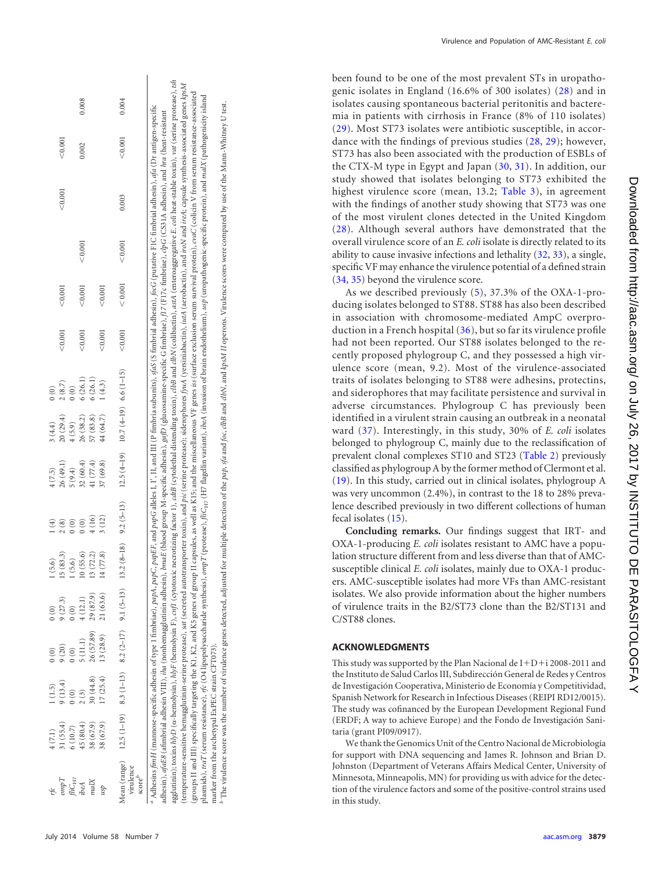| 0.004<br>< 0.001<br>0.003<br>< 0.001<br>< 0.001<br>< 0.001<br>$13.2 (8-18)$ $9.2 (5-13)$ $12.5 (4-19)$ $10.7 (4-19) 6.6 (1-15)$<br>Mean (range) 12.5 (1-19) 8.3 (1-13) 8.2 (2-17) 9.1 (5-13) |
|----------------------------------------------------------------------------------------------------------------------------------------------------------------------------------------------|
|                                                                                                                                                                                              |

plasmids), traT (serum resistance), rfc (O4 lipopolysaccharide synthesis), ompT (protease), fifc<sub>17</sub> (H7 flagellin variant), ibeA (invasion of brain endothelium), usp (uropathogenic-specific protein), and malX (pathogenici plasmids), traT (serum resistance), rfc (O4 lipopolysaccharide synthesis), ompT (protease), file<sub>ra</sub>; (H7 flagellin variant), iteA (invasion of brain endothelium), usp (uropathogenic-specific protein), and *malX* (pathogen <sup>7</sup> The virulence score was the number of virulence genes detected, adjusted for multiple detection of the *pap, sfa* and *foc, dbB* and *clbN,* and *kpsM II* operons. Virulence scores were compared by use of the Mann-Whit The virulence score was the number of virulence genes detected, adjusted for multiple detection of the *pap, sfa* and *foc, dbB* and *dbN*, and *kpsM II* operons. Virulence scores were compared by use of the Mann-Whitney U marker from the archetypal ExPEC strain CFT073). marker from the archetypal ExPEC strain CFT073).

(temperature-sensitive hemagglutinin-serine protease), sar(secreted autotransporter toxin), and pic (serine protease); siderophores fjuA (yersiniabactin), iutA (aerobactin), and ircAs capsule symthesis-associated genes kps groups II and III) specifically targeting the K1, K2, and K5 genes of group II capsules, as well as K15; and the miscellaneous VF genes iss (surface exclusion serum survival protein), *cwd* (collicin V from serum resistanc

temperature-sensitive hemagglutinin-serine protease),

groups II and III) specifically targeting the K1, K2, and K5 genes of group II capsules, as well as K15; and the miscellaneous VF genes iss (surface exclusion serum survival protein), cvaC (colicin V from serum resistance-

sat (secreted autotransporter toxin), and pic (serine protease); siderophores fyuA (yersiniabactin), intA (aerobactin), and iroN and ireA; capsule synthesis-associated genes kpsM

Virulence and Population of AMC-Resistant E. coli

been found to be one of the most prevalent STs in uropathogenic isolates in England (16.6% of 300 isolates) [\(28\)](#page-6-27) and in isolates causing spontaneous bacterial peritonitis and bacteremia in patients with cirrhosis in France (8% of 110 isolates) [\(29\)](#page-6-28). Most ST73 isolates were antibiotic susceptible, in accordance with the findings of previous studies [\(28,](#page-6-27) [29\)](#page-6-28); however, ST73 has also been associated with the production of ESBLs of the CTX-M type in Egypt and Japan [\(30](#page-6-29) , [31\)](#page-6-30). In addition, our study showed that isolates belonging to ST73 exhibited the highest virulence score (mean, 13.2; [Table 3\)](#page-4-0), in agreement with the findings of another study showing that ST73 was one of the most virulent clones detected in the United Kingdom [\(28\)](#page-6-27). Although several authors have demonstrated that the overall virulence score of an *E. coli* isolate is directly related to its ability to cause invasive infections and lethality [\(32](#page-7-0) , [33\)](#page-7-1), a single, specific VF may enhance the virulence potential of a defined strain [\(34,](#page-7-2) [35\)](#page-7-3) beyond the virulence score.

As we described previously ( [5\)](#page-6-4), 37.3% of the OXA-1-producing isolates belonged to ST88. ST88 has also been described in association with chromosome-mediated AmpC overproduction in a French hospital [\(36\)](#page-7-4), but so far its virulence profile had not been reported. Our ST88 isolates belonged to the recently proposed phylogroup C, and they possessed a high virulence score (mean, 9.2). Most of the virulence-associated traits of isolates belonging to ST88 were adhesins, protectins, and siderophores that may facilitate persistence and survival in adverse circumstances. Phylogroup C has previously been identified in a virulent strain causing an outbreak in a neonatal ward [\(37\)](#page-7-5). Interestingly, in this study, 30% of *E. coli* isolates belonged to phylogroup C, mainly due to the reclassification of prevalent clonal complexes ST10 and ST23 [\(Table 2\)](#page-2-1) previously classified as phylogroup A by the former method of Clermont et al. [\(19\)](#page-6-18). In this study, carried out in clinical isolates, phylogroup A was very uncommon (2.4%), in contrast to the 18 to 28% prevalence described previously in two different collections of human fecal isolates [\(15\)](#page-6-14).

**Concluding remarks.** Our findings suggest that IRT- and OXA-1-producing *E. coli* isolates resistant to AMC have a population structure different from and less diverse than that of AMCsusceptible clinical *E. coli* isolates, mainly due to OXA-1 producers. AMC-susceptible isolates had more VFs than AMC-resistant isolates. We also provide information about the higher numbers of virulence traits in the B2/ST73 clone than the B2/ST131 and C/ST88 clones.

## **ACKNOWLEDGMENTS**

This study was supported by the Plan Nacional de  $I+D+i$  2008-2011 and the Instituto de Salud Carlos III, Subdirección General de Redes y Centros de Investigación Cooperativa, Ministerio de Economía y Competitividad, Spanish Network for Research in Infectious Diseases (REIPI RD12/0015). The study was cofinanced by the European Development Regional Fund (ERDF; A way to achieve Europe) and the Fondo de Investigación Sanitaria (grant PI09/0917).

We thank the Genomics Unit of the Centro Nacional de Microbiología for support with DNA sequencing and James R. Johnson and Brian D. Johnston (Department of Veterans Affairs Medical Center, University of Minnesota, Minneapolis, MN) for providing us with advice for the detection of the virulence factors and some of the positive-control strains used in this study.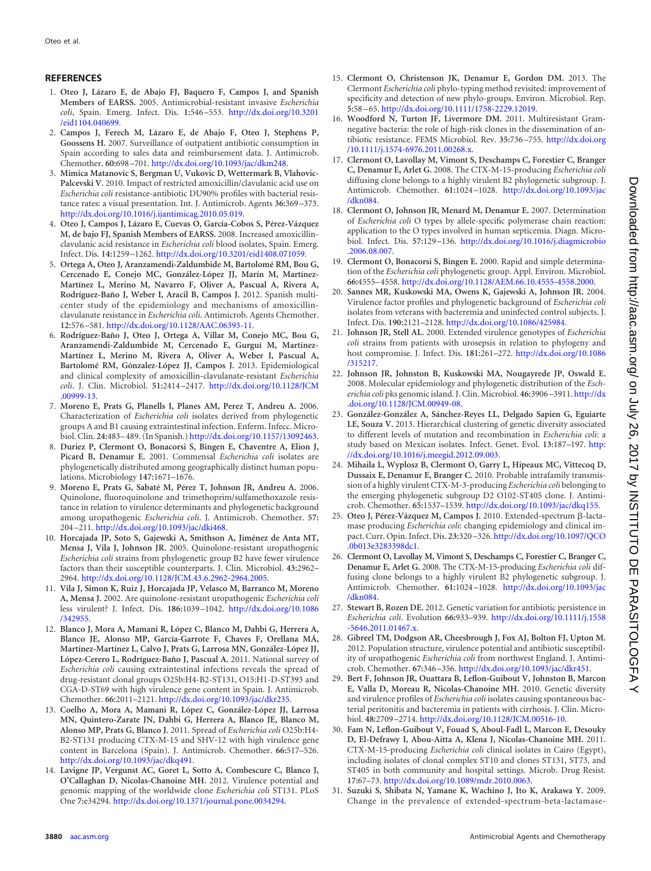## <span id="page-6-0"></span>**REFERENCES**

- 1. **Oteo J, Lázaro E, de Abajo FJ, Baquero F, Campos J, and Spanish Members of EARSS.** 2005. Antimicrobial-resistant invasive *Escherichia coli*, Spain. Emerg. Infect. Dis. **1:**546 –553. [http://dx.doi.org/10.3201](http://dx.doi.org/10.3201/eid1104.040699) [/eid1104.040699.](http://dx.doi.org/10.3201/eid1104.040699)
- <span id="page-6-1"></span>2. **Campos J, Ferech M, Lázaro E, de Abajo F, Oteo J, Stephens P, Goossens H.** 2007. Surveillance of outpatient antibiotic consumption in Spain according to sales data and reimbursement data. J. Antimicrob. Chemother. **60:**698 –701. [http://dx.doi.org/10.1093/jac/dkm248.](http://dx.doi.org/10.1093/jac/dkm248)
- <span id="page-6-2"></span>3. **Mimica Matanovic S, Bergman U, Vukovic D, Wettermark B, Vlahovic-Palcevski V.** 2010. Impact of restricted amoxicillin/clavulanic acid use on *Escherichia coli* resistance-antibiotic DU90% profiles with bacterial resistance rates: a visual presentation. Int. J. Antimicrob. Agents **36:**369 –373. [http://dx.doi.org/10.1016/j.ijantimicag.2010.05.019.](http://dx.doi.org/10.1016/j.ijantimicag.2010.05.019)
- <span id="page-6-3"></span>4. **Oteo J, Campos J, Lázaro E, Cuevas O, García-Cobos S, Pérez-Vázquez M, de bajo FJ, Spanish Members of EARSS.** 2008. Increased amoxicillinclavulanic acid resistance in *Escherichia coli* blood isolates, Spain. Emerg. Infect. Dis. **14:**1259 –1262. [http://dx.doi.org/10.3201/eid1408.071059.](http://dx.doi.org/10.3201/eid1408.071059)
- <span id="page-6-4"></span>5. **Ortega A, Oteo J, Aranzamendi-Zaldumbide M, Bartolomé RM, Bou G, Cercenado E, Conejo MC, González-López JJ, Marín M, Martínez-Martínez L, Merino M, Navarro F, Oliver A, Pascual A, Rivera A, Rodríguez-Baño J, Weber I, Aracil B, Campos J.** 2012. Spanish multicenter study of the epidemiology and mechanisms of amoxicillinclavulanate resistance in *Escherichia coli*. Antimicrob. Agents Chemother. **12:**576 –581. [http://dx.doi.org/10.1128/AAC.06393-11.](http://dx.doi.org/10.1128/AAC.06393-11)
- <span id="page-6-5"></span>6. **Rodríguez-Baño J, Oteo J, Ortega A, Villar M, Conejo MC, Bou G, Aranzamendi-Zaldumbide M, Cercenado E, Gurguí M, Martínez-Martínez L, Merino M, Rivera A, Oliver A, Weber I, Pascual A, Bartolomé RM, Gónzalez-López JJ, Campos J.** 2013. Epidemiological and clinical complexity of amoxicillin-clavulanate-resistant *Escherichia coli*. J. Clin. Microbiol. **51:**2414 –2417. [http://dx.doi.org/10.1128/JCM](http://dx.doi.org/10.1128/JCM.00999-13) [.00999-13.](http://dx.doi.org/10.1128/JCM.00999-13)
- <span id="page-6-6"></span>7. **Moreno E, Prats G, Planells I, Planes AM, Perez T, Andreu A.** 2006. Characterization of *Escherichia coli* isolates derived from phylogenetic groups A and B1 causing extraintestinal infection. Enferm. Infecc. Microbiol. Clin. **24:**483– 489. (In Spanish.) [http://dx.doi.org/10.1157/13092463.](http://dx.doi.org/10.1157/13092463)
- <span id="page-6-7"></span>8. **Duriez P, Clermont O, Bonacorsi S, Bingen E, Chaventre A, Elion J, Picard B, Denamur E.** 2001. Commensal *Escherichia coli* isolates are phylogenetically distributed among geographically distinct human populations. Microbiology **147:**1671–1676.
- <span id="page-6-8"></span>9. **Moreno E, Prats G, Sabaté M, Pérez T, Johnson JR, Andreu A.** 2006. Quinolone, fluoroquinolone and trimethoprim/sulfamethoxazole resistance in relation to virulence determinants and phylogenetic background among uropathogenic *Escherichia coli*. J. Antimicrob. Chemother. **57:** 204 –211. [http://dx.doi.org/10.1093/jac/dki468.](http://dx.doi.org/10.1093/jac/dki468)
- <span id="page-6-9"></span>10. **Horcajada JP, Soto S, Gajewski A, Smithson A, Jiménez de Anta MT, Mensa J, Vila J, Johnson JR.** 2005. Quinolone-resistant uropathogenic *Escherichia coli* strains from phylogenetic group B2 have fewer virulence factors than their susceptible counterparts. J. Clin. Microbiol. **43:**2962– 2964. [http://dx.doi.org/10.1128/JCM.43.6.2962-2964.2005.](http://dx.doi.org/10.1128/JCM.43.6.2962-2964.2005)
- <span id="page-6-10"></span>11. **Vila J, Simon K, Ruiz J, Horcajada JP, Velasco M, Barranco M, Moreno A, Mensa J.** 2002. Are quinolone-resistant uropathogenic *Escherichia coli* less virulent? J. Infect. Dis. **186:**1039 –1042. [http://dx.doi.org/10.1086](http://dx.doi.org/10.1086/342955) [/342955.](http://dx.doi.org/10.1086/342955)
- <span id="page-6-11"></span>12. **Blanco J, Mora A, Mamani R, López C, Blanco M, Dahbi G, Herrera A, Blanco JE, Alonso MP, García-Garrote F, Chaves F, Orellana MÁ, Martínez-Martínez L, Calvo J, Prats G, Larrosa MN, González-López JJ, López-Cerero L, Rodríguez-Baño J, Pascual A.** 2011. National survey of *Escherichia coli* causing extraintestinal infections reveals the spread of drug-resistant clonal groups O25b:H4-B2-ST131, O15:H1-D-ST393 and CGA-D-ST69 with high virulence gene content in Spain. J. Antimicrob. Chemother. **66:**2011–2121. [http://dx.doi.org/10.1093/jac/dkr235.](http://dx.doi.org/10.1093/jac/dkr235)
- <span id="page-6-12"></span>13. **Coelho A, Mora A, Mamani R, López C, González-López JJ, Larrosa MN, Quintero-Zarate JN, Dahbi G, Herrera A, Blanco JE, Blanco M, Alonso MP, Prats G, Blanco J.** 2011. Spread of *Escherichia coli* O25b:H4- B2-ST131 producing CTX-M-15 and SHV-12 with high virulence gene content in Barcelona (Spain). J. Antimicrob. Chemother. **66:**517–526. [http://dx.doi.org/10.1093/jac/dkq491.](http://dx.doi.org/10.1093/jac/dkq491)
- <span id="page-6-13"></span>14. **Lavigne JP, Vergunst AC, Goret L, Sotto A, Combescure C, Blanco J, O'Callaghan D, Nicolas-Chanoine MH.** 2012. Virulence potential and genomic mapping of the worldwide clone *Escherichia coli* ST131. PLoS One **7:**e34294. [http://dx.doi.org/10.1371/journal.pone.0034294.](http://dx.doi.org/10.1371/journal.pone.0034294)
- <span id="page-6-14"></span>15. **Clermont O, Christenson JK, Denamur E, Gordon DM.** 2013. The Clermont *Escherichia coli* phylo-typing method revisited: improvement of specificity and detection of new phylo-groups. Environ. Microbiol. Rep. **5:**58 – 65. [http://dx.doi.org/10.1111/1758-2229.12019.](http://dx.doi.org/10.1111/1758-2229.12019)
- <span id="page-6-15"></span>16. **Woodford N, Turton JF, Livermore DM.** 2011. Multiresistant Gramnegative bacteria: the role of high-risk clones in the dissemination of antibiotic resistance. FEMS Microbiol. Rev. **35:**736 –755. [http://dx.doi.org](http://dx.doi.org/10.1111/j.1574-6976.2011.00268.x) [/10.1111/j.1574-6976.2011.00268.x.](http://dx.doi.org/10.1111/j.1574-6976.2011.00268.x)
- <span id="page-6-16"></span>17. **Clermont O, Lavollay M, Vimont S, Deschamps C, Forestier C, Branger C, Denamur E, Arlet G.** 2008. The CTX-M-15-producing *Escherichia coli* diffusing clone belongs to a highly virulent B2 phylogenetic subgroup. J. Antimicrob. Chemother. **61:**1024 –1028. [http://dx.doi.org/10.1093/jac](http://dx.doi.org/10.1093/jac/dkn084) [/dkn084.](http://dx.doi.org/10.1093/jac/dkn084)
- <span id="page-6-17"></span>18. **Clermont O, Johnson JR, Menard M, Denamur E.** 2007. Determination of *Escherichia coli* O types by allele-specific polymerase chain reaction: application to the O types involved in human septicemia. Diagn. Microbiol. Infect. Dis. **57:**129 –136. [http://dx.doi.org/10.1016/j.diagmicrobio](http://dx.doi.org/10.1016/j.diagmicrobio.2006.08.007) [.2006.08.007.](http://dx.doi.org/10.1016/j.diagmicrobio.2006.08.007)
- <span id="page-6-18"></span>19. **Clermont O, Bonacorsi S, Bingen E.** 2000. Rapid and simple determination of the *Escherichia coli* phylogenetic group. Appl. Environ. Microbiol. **66:**4555– 4558. [http://dx.doi.org/10.1128/AEM.66.10.4555-4558.2000.](http://dx.doi.org/10.1128/AEM.66.10.4555-4558.2000)
- <span id="page-6-19"></span>20. **Sannes MR, Kuskowski MA, Owens K, Gajewski A, Johnson JR.** 2004. Virulence factor profiles and phylogenetic background of *Escherichia coli* isolates from veterans with bacteremia and uninfected control subjects. J. Infect. Dis. **190:**2121–2128. [http://dx.doi.org/10.1086/425984.](http://dx.doi.org/10.1086/425984)
- <span id="page-6-20"></span>21. **Johnson JR, Stell AL.** 2000. Extended virulence genotypes of *Escherichia coli* strains from patients with urosepsis in relation to phylogeny and host compromise. J. Infect. Dis. **181:**261–272. [http://dx.doi.org/10.1086](http://dx.doi.org/10.1086/315217) [/315217.](http://dx.doi.org/10.1086/315217)
- <span id="page-6-21"></span>22. **Johnson JR, Johnston B, Kuskowski MA, Nougayrede JP, Oswald E.** 2008. Molecular epidemiology and phylogenetic distribution of the *Escherichia coli* pks genomic island. J. Clin. Microbiol. **46:**3906 –3911. [http://dx](http://dx.doi.org/10.1128/JCM.00949-08) [.doi.org/10.1128/JCM.00949-08.](http://dx.doi.org/10.1128/JCM.00949-08)
- <span id="page-6-22"></span>23. **González-González A, Sánchez-Reyes LL, Delgado Sapien G, Eguiarte LE, Souza V.** 2013. Hierarchical clustering of genetic diversity associated to different levels of mutation and recombination in *Escherichia coli*: a study based on Mexican isolates. Infect. Genet. Evol. **13:**187–197. [http:](http://dx.doi.org/10.1016/j.meegid.2012.09.003) [//dx.doi.org/10.1016/j.meegid.2012.09.003.](http://dx.doi.org/10.1016/j.meegid.2012.09.003)
- <span id="page-6-23"></span>24. **Mihaila L, Wyplosz B, Clermont O, Garry L, Hipeaux MC, Vittecoq D, Dussaix E, Denamur E, Branger C.** 2010. Probable intrafamily transmission of a highly virulent CTX-M-3-producing *Escherichia coli* belonging to the emerging phylogenetic subgroup D2 O102-ST405 clone. J. Antimicrob. Chemother. **65:**1537–1539. [http://dx.doi.org/10.1093/jac/dkq155.](http://dx.doi.org/10.1093/jac/dkq155)
- <span id="page-6-24"></span>25. Oteo J, Pérez-Vázquez M, Campos J. 2010. Extended-spectrum ß-lactamase producing *Escherichia coli*: changing epidemiology and clinical impact. Curr. Opin. Infect. Dis. **23:**320 –326. [http://dx.doi.org/10.1097/QCO](http://dx.doi.org/10.1097/QCO.0b013e3283398dc1) [.0b013e3283398dc1.](http://dx.doi.org/10.1097/QCO.0b013e3283398dc1)
- <span id="page-6-25"></span>26. **Clermont O, Lavollay M, Vimont S, Deschamps C, Forestier C, Branger C, Denamur E, Arlet G.** 2008. The CTX-M-15-producing *Escherichia coli* diffusing clone belongs to a highly virulent B2 phylogenetic subgroup. J. Antimicrob. Chemother. **61:**1024 –1028. [http://dx.doi.org/10.1093/jac](http://dx.doi.org/10.1093/jac/dkn084) [/dkn084.](http://dx.doi.org/10.1093/jac/dkn084)
- <span id="page-6-27"></span><span id="page-6-26"></span>27. **Stewart B, Rozen DE.** 2012. Genetic variation for antibiotic persistence in *Escherichia coli*. Evolution **66:**933–939. [http://dx.doi.org/10.1111/j.1558](http://dx.doi.org/10.1111/j.1558-5646.2011.01467.x) [-5646.2011.01467.x.](http://dx.doi.org/10.1111/j.1558-5646.2011.01467.x)
- 28. **Gibreel TM, Dodgson AR, Cheesbrough J, Fox AJ, Bolton FJ, Upton M.** 2012. Population structure, virulence potential and antibiotic susceptibility of uropathogenic *Escherichia coli* from northwest England. J. Antimicrob. Chemother. **67:**346 –356. [http://dx.doi.org/10.1093/jac/dkr451.](http://dx.doi.org/10.1093/jac/dkr451)
- <span id="page-6-28"></span>29. **Bert F, Johnson JR, Ouattara B, Leflon-Guibout V, Johnston B, Marcon E, Valla D, Moreau R, Nicolas-Chanoine MH.** 2010. Genetic diversity and virulence profiles of *Escherichia coli* isolates causing spontaneous bacterial peritonitis and bacteremia in patients with cirrhosis. J. Clin. Microbiol. **48:**2709 –2714. [http://dx.doi.org/10.1128/JCM.00516-10.](http://dx.doi.org/10.1128/JCM.00516-10)
- <span id="page-6-29"></span>30. **Fam N, Leflon-Guibout V, Fouad S, Aboul-Fadl L, Marcon E, Desouky D, El-Defrawy I, Abou-Aitta A, Klena J, Nicolas-Chanoine MH.** 2011. CTX-M-15-producing *Escherichia coli* clinical isolates in Cairo (Egypt), including isolates of clonal complex ST10 and clones ST131, ST73, and ST405 in both community and hospital settings. Microb. Drug Resist. **17:**67–73. [http://dx.doi.org/10.1089/mdr.2010.0063.](http://dx.doi.org/10.1089/mdr.2010.0063)
- <span id="page-6-30"></span>31. **Suzuki S, Shibata N, Yamane K, Wachino J, Ito K, Arakawa Y.** 2009. Change in the prevalence of extended-spectrum-beta-lactamase-